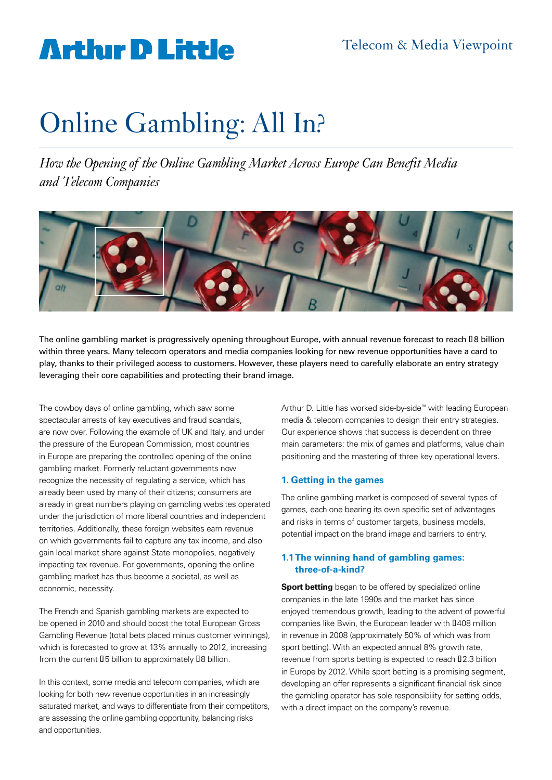### Telecom & Media Viewpoint

### **Arthur D Little**

# Online Gambling: All In?

*How the Opening of the Online Gambling Market Across Europe Can Benefit Media and Telecom Companies*



The online gambling market is progressively opening throughout Europe, with annual revenue forecast to reach **□8 billion** within three years. Many telecom operators and media companies looking for new revenue opportunities have a card to play, thanks to their privileged access to customers. However, these players need to carefully elaborate an entry strategy leveraging their core capabilities and protecting their brand image.

The cowboy days of online gambling, which saw some spectacular arrests of key executives and fraud scandals, are now over. Following the example of UK and Italy, and under the pressure of the European Commission, most countries in Europe are preparing the controlled opening of the online gambling market. Formerly reluctant governments now recognize the necessity of regulating a service, which has already been used by many of their citizens; consumers are already in great numbers playing on gambling websites operated under the jurisdiction of more liberal countries and independent territories. Additionally, these foreign websites earn revenue on which governments fail to capture any tax income, and also gain local market share against State monopolies, negatively impacting tax revenue. For governments, opening the online gambling market has thus become a societal, as well as economic, necessity.

The French and Spanish gambling markets are expected to be opened in 2010 and should boost the total European Gross Gambling Revenue (total bets placed minus customer winnings), which is forecasted to grow at 13% annually to 2012, increasing from the current  $I_5$  billion to approximately  $I_8$  billion.

In this context, some media and telecom companies, which are looking for both new revenue opportunities in an increasingly saturated market, and ways to differentiate from their competitors, are assessing the online gambling opportunity, balancing risks and opportunities.

Arthur D. Little has worked side-by-side™ with leading European media & telecom companies to design their entry strategies. Our experience shows that success is dependent on three main parameters: the mix of games and platforms, value chain positioning and the mastering of three key operational levers.

#### **1. Getting in the games**

The online gambling market is composed of several types of games, each one bearing its own specific set of advantages and risks in terms of customer targets, business models, potential impact on the brand image and barriers to entry.

#### **1.1 The winning hand of gambling games: three-of-a-kind?**

**Sport betting** began to be offered by specialized online companies in the late 1990s and the market has since enjoyed tremendous growth, leading to the advent of powerful companies like Bwin, the European leader with II408 million in revenue in 2008 (approximately 50% of which was from sport betting). With an expected annual 8% growth rate, revenue from sports betting is expected to reach I2.3 billion in Europe by 2012. While sport betting is a promising segment, developing an offer represents a significant financial risk since the gambling operator has sole responsibility for setting odds, with a direct impact on the company's revenue.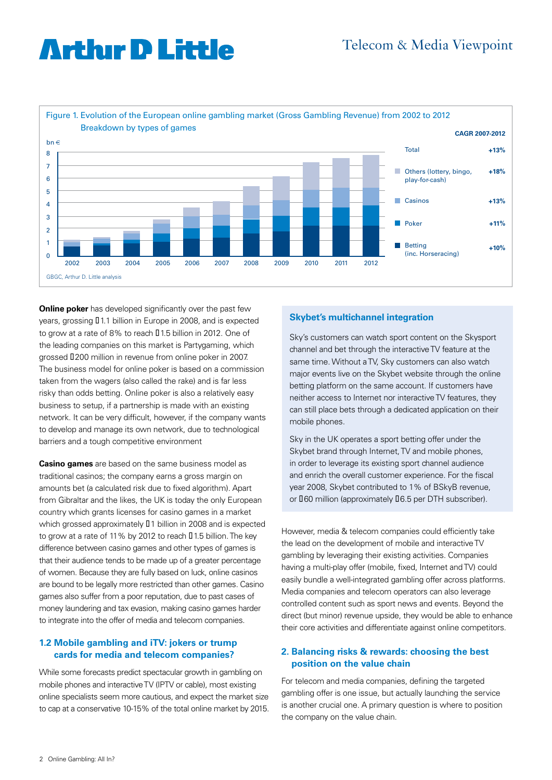# **Arthur D Little**



**Online poker** has developed significantly over the past few years, grossing  $[11.1$  billion in Europe in 2008, and is expected to grow at a rate of 8% to reach  $\text{I}$  1.5 billion in 2012. One of the leading companies on this market is Partygaming, which grossed €200 million in revenue from online poker in 2007. The business model for online poker is based on a commission taken from the wagers (also called the rake) and is far less risky than odds betting. Online poker is also a relatively easy business to setup, if a partnership is made with an existing network. It can be very difficult, however, if the company wants to develop and manage its own network, due to technological barriers and a tough competitive environment

**Casino games** are based on the same business model as traditional casinos; the company earns a gross margin on amounts bet (a calculated risk due to fixed algorithm). Apart from Gibraltar and the likes, the UK is today the only European country which grants licenses for casino games in a market which grossed approximately  $\Box$  1 billion in 2008 and is expected to grow at a rate of 11% by 2012 to reach [1.5 billion. The key difference between casino games and other types of games is that their audience tends to be made up of a greater percentage of women. Because they are fully based on luck, online casinos are bound to be legally more restricted than other games. Casino games also suffer from a poor reputation, due to past cases of money laundering and tax evasion, making casino games harder to integrate into the offer of media and telecom companies.

#### **1.2 Mobile gambling and iTV: jokers or trump cards for media and telecom companies?**

While some forecasts predict spectacular growth in gambling on mobile phones and interactive TV (IPTV or cable), most existing online specialists seem more cautious, and expect the market size to cap at a conservative 10-15% of the total online market by 2015.

#### **Skybet's multichannel integration**

Sky's customers can watch sport content on the Skysport channel and bet through the interactive TV feature at the same time. Without a TV, Sky customers can also watch major events live on the Skybet website through the online betting platform on the same account. If customers have neither access to Internet nor interactive TV features, they can still place bets through a dedicated application on their mobile phones.

Sky in the UK operates a sport betting offer under the Skybet brand through Internet, TV and mobile phones, in order to leverage its existing sport channel audience and enrich the overall customer experience. For the fiscal year 2008, Skybet contributed to 1% of BSkyB revenue, or  $I$ 60 million (approximately  $I$ 6.5 per DTH subscriber).

However, media & telecom companies could efficiently take the lead on the development of mobile and interactive TV gambling by leveraging their existing activities. Companies having a multi-play offer (mobile, fixed, Internet and TV) could easily bundle a well-integrated gambling offer across platforms. Media companies and telecom operators can also leverage controlled content such as sport news and events. Beyond the direct (but minor) revenue upside, they would be able to enhance their core activities and differentiate against online competitors.

#### **2. Balancing risks & rewards: choosing the best position on the value chain**

For telecom and media companies, defining the targeted gambling offer is one issue, but actually launching the service is another crucial one. A primary question is where to position the company on the value chain.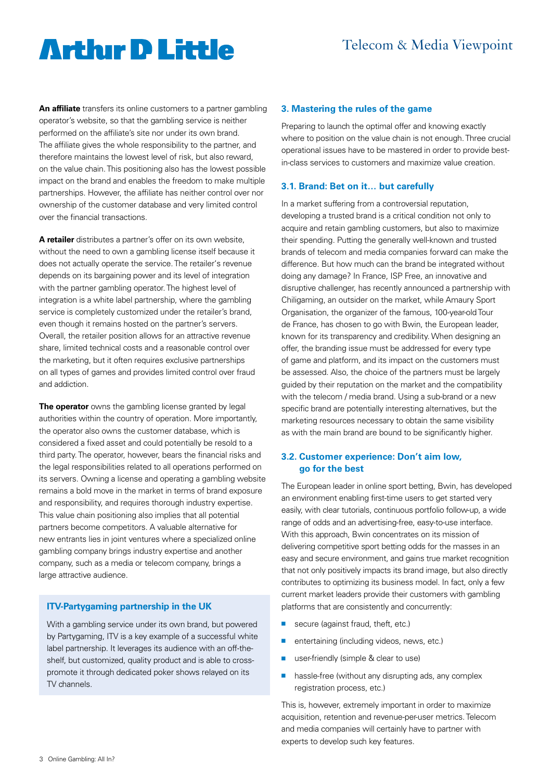# **Arthur D Little**

**An affiliate** transfers its online customers to a partner gambling operator's website, so that the gambling service is neither performed on the affiliate's site nor under its own brand. The affiliate gives the whole responsibility to the partner, and therefore maintains the lowest level of risk, but also reward, on the value chain. This positioning also has the lowest possible impact on the brand and enables the freedom to make multiple partnerships. However, the affiliate has neither control over nor ownership of the customer database and very limited control over the financial transactions.

**A retailer** distributes a partner's offer on its own website, without the need to own a gambling license itself because it does not actually operate the service. The retailer's revenue depends on its bargaining power and its level of integration with the partner gambling operator. The highest level of integration is a white label partnership, where the gambling service is completely customized under the retailer's brand, even though it remains hosted on the partner's servers. Overall, the retailer position allows for an attractive revenue share, limited technical costs and a reasonable control over the marketing, but it often requires exclusive partnerships on all types of games and provides limited control over fraud and addiction.

**The operator** owns the gambling license granted by legal authorities within the country of operation. More importantly, the operator also owns the customer database, which is considered a fixed asset and could potentially be resold to a third party. The operator, however, bears the financial risks and the legal responsibilities related to all operations performed on its servers. Owning a license and operating a gambling website remains a bold move in the market in terms of brand exposure and responsibility, and requires thorough industry expertise. This value chain positioning also implies that all potential partners become competitors. A valuable alternative for new entrants lies in joint ventures where a specialized online gambling company brings industry expertise and another company, such as a media or telecom company, brings a large attractive audience.

#### **ITV-Partygaming partnership in the UK**

With a gambling service under its own brand, but powered by Partygaming, ITV is a key example of a successful white label partnership. It leverages its audience with an off-theshelf, but customized, quality product and is able to crosspromote it through dedicated poker shows relayed on its TV channels.

#### **3. Mastering the rules of the game**

Preparing to launch the optimal offer and knowing exactly where to position on the value chain is not enough. Three crucial operational issues have to be mastered in order to provide bestin-class services to customers and maximize value creation.

#### **3.1. Brand: Bet on it… but carefully**

In a market suffering from a controversial reputation, developing a trusted brand is a critical condition not only to acquire and retain gambling customers, but also to maximize their spending. Putting the generally well-known and trusted brands of telecom and media companies forward can make the difference. But how much can the brand be integrated without doing any damage? In France, ISP Free, an innovative and disruptive challenger, has recently announced a partnership with Chiligaming, an outsider on the market, while Amaury Sport Organisation, the organizer of the famous, 100-year-old Tour de France, has chosen to go with Bwin, the European leader, known for its transparency and credibility. When designing an offer, the branding issue must be addressed for every type of game and platform, and its impact on the customers must be assessed. Also, the choice of the partners must be largely guided by their reputation on the market and the compatibility with the telecom / media brand. Using a sub-brand or a new specific brand are potentially interesting alternatives, but the marketing resources necessary to obtain the same visibility as with the main brand are bound to be significantly higher.

#### **3.2. Customer experience: Don't aim low, go for the best**

The European leader in online sport betting, Bwin, has developed an environment enabling first-time users to get started very easily, with clear tutorials, continuous portfolio follow-up, a wide range of odds and an advertising-free, easy-to-use interface. With this approach, Bwin concentrates on its mission of delivering competitive sport betting odds for the masses in an easy and secure environment, and gains true market recognition that not only positively impacts its brand image, but also directly contributes to optimizing its business model. In fact, only a few current market leaders provide their customers with gambling platforms that are consistently and concurrently:

- secure (against fraud, theft, etc.)
- $n$  entertaining (including videos, news, etc.)
- user-friendly (simple & clear to use)
- $\blacksquare$  hassle-free (without any disrupting ads, any complex registration process, etc.)

This is, however, extremely important in order to maximize acquisition, retention and revenue-per-user metrics. Telecom and media companies will certainly have to partner with experts to develop such key features.